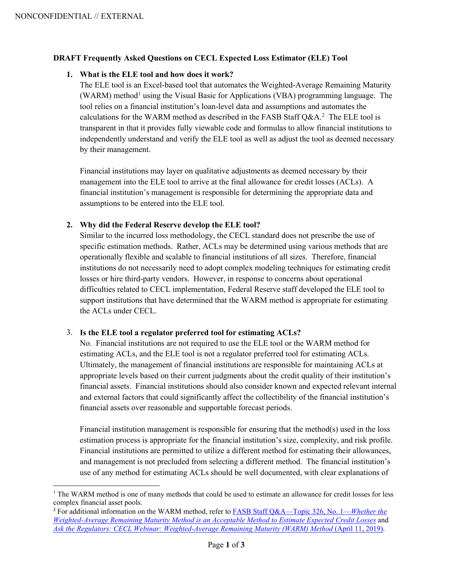#### **DRAFT Frequently Asked Questions on CECL Expected Loss Estimator (ELE) Tool**

#### **1. What is the ELE tool and how does it work?**

The ELE tool is an Excel-based tool that automates the Weighted-Average Remaining Maturity (WARM) method<sup>[1](#page-0-0)</sup> using the Visual Basic for Applications (VBA) programming language. The tool relies on a financial institution's loan-level data and assumptions and automates the calculations for the WARM method as described in the FASB Staff  $Q&A.^2$  The ELE tool is transparent in that it provides fully viewable code and formulas to allow financial institutions to independently understand and verify the ELE tool as well as adjust the tool as deemed necessary by their management.

Financial institutions may layer on qualitative adjustments as deemed necessary by their management into the ELE tool to arrive at the final allowance for credit losses (ACLs). A financial institution's management is responsible for determining the appropriate data and assumptions to be entered into the ELE tool.

### **2. Why did the Federal Reserve develop the ELE tool?**

Similar to the incurred loss methodology, the CECL standard does not prescribe the use of specific estimation methods. Rather, ACLs may be determined using various methods that are operationally flexible and scalable to financial institutions of all sizes. Therefore, financial institutions do not necessarily need to adopt complex modeling techniques for estimating credit losses or hire third-party vendors. However, in response to concerns about operational difficulties related to CECL implementation, Federal Reserve staff developed the ELE tool to support institutions that have determined that the WARM method is appropriate for estimating the ACLs under CECL.

#### 3. **Is the ELE tool a regulator preferred tool for estimating ACLs?**

No. Financial institutions are not required to use the ELE tool or the WARM method for estimating ACLs, and the ELE tool is not a regulator preferred tool for estimating ACLs. Ultimately, the management of financial institutions are responsible for maintaining ACLs at appropriate levels based on their current judgments about the credit quality of their institution's financial assets. Financial institutions should also consider known and expected relevant internal and external factors that could significantly affect the collectibility of the financial institution's financial assets over reasonable and supportable forecast periods.

Financial institution management is responsible for ensuring that the method(s) used in the loss estimation process is appropriate for the financial institution's size, complexity, and risk profile. Financial institutions are permitted to utilize a different method for estimating their allowances, and management is not precluded from selecting a different method. The financial institution's use of any method for estimating ACLs should be well documented, with clear explanations of

<span id="page-0-0"></span><sup>&</sup>lt;sup>1</sup> The WARM method is one of many methods that could be used to estimate an allowance for credit losses for less complex financial asset pools.

<span id="page-0-1"></span><sup>2</sup> For additional information on the WARM method, refer t[o FASB Staff Q&A—Topic 326, No. 1—](https://www.fasb.org/Page/PageContent?PageId=/standards/Transition/credit-losses-transition/fasb-staff-qatopic-326-no-1whether-the-weightedaverage.html&isContentPage=true&bcpath=tff)*Whether the [Weighted-Average Remaining Maturity Method is an Acceptable Method to Estimate Expected Credit Losses](https://www.fasb.org/Page/PageContent?PageId=/standards/Transition/credit-losses-transition/fasb-staff-qatopic-326-no-1whether-the-weightedaverage.html&isContentPage=true&bcpath=tff)* an[d](https://www.webcaster4.com/Webcast/Page/583/29509) *[Ask the Regulators: CECL Webinar: Weighted-Average Remaining Maturity \(WARM\) Method](https://www.webcaster4.com/Webcast/Page/583/29509)* (April 11, 2019).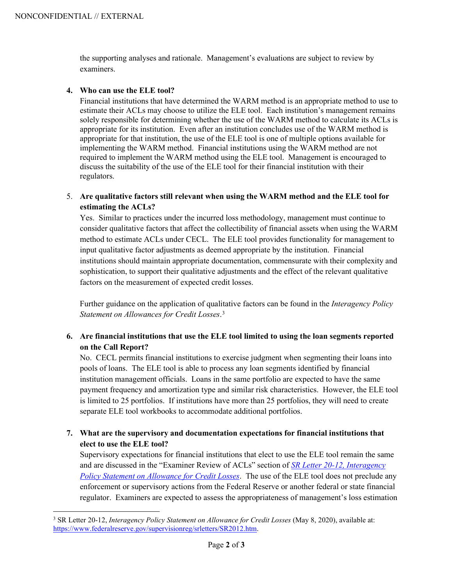the supporting analyses and rationale. Management's evaluations are subject to review by examiners.

### **4. Who can use the ELE tool?**

Financial institutions that have determined the WARM method is an appropriate method to use to estimate their ACLs may choose to utilize the ELE tool. Each institution's management remains solely responsible for determining whether the use of the WARM method to calculate its ACLs is appropriate for its institution. Even after an institution concludes use of the WARM method is appropriate for that institution, the use of the ELE tool is one of multiple options available for implementing the WARM method. Financial institutions using the WARM method are not required to implement the WARM method using the ELE tool. Management is encouraged to discuss the suitability of the use of the ELE tool for their financial institution with their regulators.

# 5. **Are qualitative factors still relevant when using the WARM method and the ELE tool for estimating the ACLs?**

Yes. Similar to practices under the incurred loss methodology, management must continue to consider qualitative factors that affect the collectibility of financial assets when using the WARM method to estimate ACLs under CECL. The ELE tool provides functionality for management to input qualitative factor adjustments as deemed appropriate by the institution. Financial institutions should maintain appropriate documentation, commensurate with their complexity and sophistication, to support their qualitative adjustments and the effect of the relevant qualitative factors on the measurement of expected credit losses.

Further guidance on the application of qualitative factors can be found in the *Interagency Policy Statement on Allowances for Credit Losses*. [3](#page-1-0)

## **6. Are financial institutions that use the ELE tool limited to using the loan segments reported on the Call Report?**

No. CECL permits financial institutions to exercise judgment when segmenting their loans into pools of loans. The ELE tool is able to process any loan segments identified by financial institution management officials. Loans in the same portfolio are expected to have the same payment frequency and amortization type and similar risk characteristics. However, the ELE tool is limited to 25 portfolios. If institutions have more than 25 portfolios, they will need to create separate ELE tool workbooks to accommodate additional portfolios.

# **7. What are the supervisory and documentation expectations for financial institutions that elect to use the ELE tool?**

Supervisory expectations for financial institutions that elect to use the ELE tool remain the same and are discussed in the "Examiner Review of ACLs" section of *[SR Letter 20-12, Interagency](https://www.federalreserve.gov/supervisionreg/srletters/SR2012a1.pdf)  [Policy Statement on Allowance for Credit Losses](https://www.federalreserve.gov/supervisionreg/srletters/SR2012a1.pdf)*. The use of the ELE tool does not preclude any enforcement or supervisory actions from the Federal Reserve or another federal or state financial regulator. Examiners are expected to assess the appropriateness of management's loss estimation

<span id="page-1-0"></span><sup>3</sup> SR Letter 20-12, *Interagency Policy Statement on Allowance for Credit Losses* (May 8, 2020), available at: [https://www.federalreserve.gov/supervisionreg/srletters/SR2012.htm.](https://www.federalreserve.gov/supervisionreg/srletters/SR2012.htm)